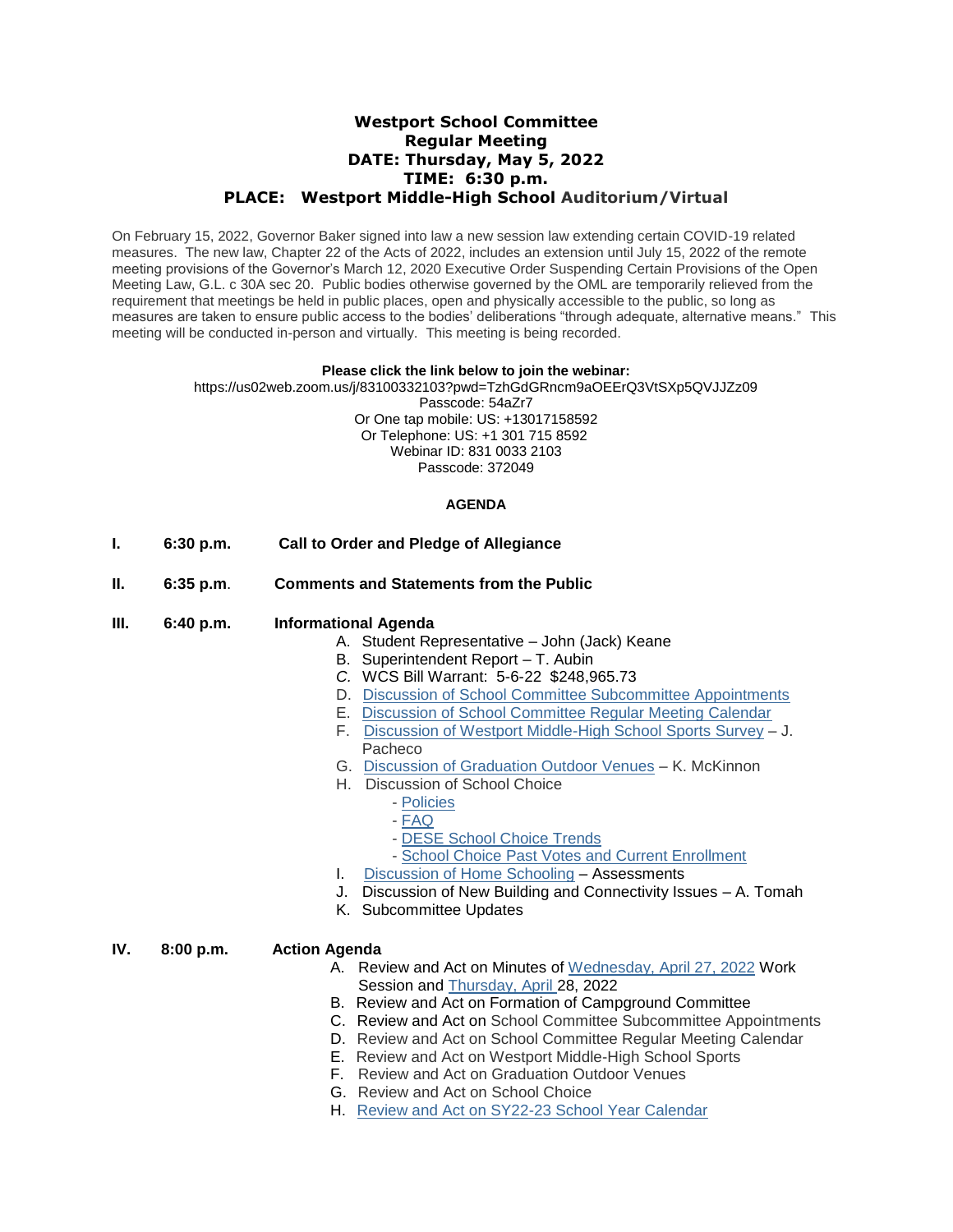# **Westport School Committee Regular Meeting DATE: Thursday, May 5, 2022 TIME: 6:30 p.m. PLACE: Westport Middle-High School Auditorium/Virtual**

On February 15, 2022, Governor Baker signed into law a new session law extending certain COVID-19 related measures. The new law, Chapter 22 of the Acts of 2022, includes an extension until July 15, 2022 of the remote meeting provisions of the Governor's March 12, 2020 Executive Order Suspending Certain Provisions of the Open Meeting Law, G.L. c 30A sec 20. Public bodies otherwise governed by the OML are temporarily relieved from the requirement that meetings be held in public places, open and physically accessible to the public, so long as measures are taken to ensure public access to the bodies' deliberations "through adequate, alternative means." This meeting will be conducted in-person and virtually. This meeting is being recorded.

#### **Please click the link below to join the webinar:**

https://us02web.zoom.us/j/83100332103?pwd=TzhGdGRncm9aOEErQ3VtSXp5QVJJZz09 Passcode: 54aZr7 Or One tap mobile: US: +13017158592 Or Telephone: US: +1 301 715 8592 Webinar ID: 831 0033 2103 Passcode: 372049

### **AGENDA**

- **I. 6:30 p.m. Call to Order and Pledge of Allegiance**
- **II. 6:35 p.m**. **Comments and Statements from the Public**
- **III. 6:40 p.m. Informational Agenda**
	- A. Student Representative John (Jack) Keane
	- B. Superintendent Report T. Aubin
	- *C.* WCS Bill Warrant: 5-6-22 \$248,965.73
	- D. [Discussion of School Committee Subcommittee Appointments](https://docs.google.com/a/westportschools.org/viewer?a=v&pid=sites&srcid=d2VzdHBvcnRzY2hvb2xzLm9yZ3xzY2hvb2wtY29tbWl0dGVlLWJhY2t1cHxneDo2NjNhOGRhYmU2OGRmYTk4)
	- E. [Discussion of School Committee Regular Meeting Calendar](https://docs.google.com/a/westportschools.org/viewer?a=v&pid=sites&srcid=d2VzdHBvcnRzY2hvb2xzLm9yZ3xzY2hvb2wtY29tbWl0dGVlLWJhY2t1cHxneDoxMjNhMDA1NTkyMGU5NjRl)
	- F. [Discussion of Westport Middle-High School Sports Survey](https://docs.google.com/a/westportschools.org/viewer?a=v&pid=sites&srcid=d2VzdHBvcnRzY2hvb2xzLm9yZ3xzY2hvb2wtY29tbWl0dGVlLWJhY2t1cHxneDo5ZWI3ZDY0ZDA2Nzg4MGQ) J. **Pacheco**
	- G. [Discussion of Graduation Outdoor Venues](https://docs.google.com/a/westportschools.org/viewer?a=v&pid=sites&srcid=d2VzdHBvcnRzY2hvb2xzLm9yZ3xzY2hvb2wtY29tbWl0dGVlLWJhY2t1cHxneDoxNjk0YjQ3ODZiZDAxNjBh) K. McKinnon
	- H. Discussion of School Choice
		- [Policies](https://docs.google.com/a/westportschools.org/viewer?a=v&pid=sites&srcid=d2VzdHBvcnRzY2hvb2xzLm9yZ3xzY2hvb2wtY29tbWl0dGVlLWJhY2t1cHxneDo1NmM1NDdiNjhjNmE4ODc3)
		- [FAQ](https://docs.google.com/a/westportschools.org/viewer?a=v&pid=sites&srcid=d2VzdHBvcnRzY2hvb2xzLm9yZ3xzY2hvb2wtY29tbWl0dGVlLWJhY2t1cHxneDozYThiNGI1Njg3MjgyOWZl)
		- [DESE School Choice Trends](https://docs.google.com/a/westportschools.org/viewer?a=v&pid=sites&srcid=d2VzdHBvcnRzY2hvb2xzLm9yZ3xzY2hvb2wtY29tbWl0dGVlLWJhY2t1cHxneDoyNTgwYmQxZTQ2MGNkYzFh)
		- [School Choice Past Votes and Current Enrollment](https://docs.google.com/a/westportschools.org/viewer?a=v&pid=sites&srcid=d2VzdHBvcnRzY2hvb2xzLm9yZ3xzY2hvb2wtY29tbWl0dGVlLWJhY2t1cHxneDo4Y2YwMzc4NmQ0NmY4MWM)
	- I. [Discussion of Home Schooling](https://docs.google.com/a/westportschools.org/viewer?a=v&pid=sites&srcid=d2VzdHBvcnRzY2hvb2xzLm9yZ3xzY2hvb2wtY29tbWl0dGVlLWJhY2t1cHxneDo4YTQ0ODY4NzI0YTQ2OWY) Assessments
	- J. Discussion of New Building and Connectivity Issues A. Tomah
	- K. Subcommittee Updates

### **IV. 8:00 p.m. Action Agenda**

- A. Review and Act on Minutes of [Wednesday, April 27, 2022](https://docs.google.com/a/westportschools.org/viewer?a=v&pid=sites&srcid=d2VzdHBvcnRzY2hvb2xzLm9yZ3xzY2hvb2wtY29tbWl0dGVlLWJhY2t1cHxneDo2NzQ5ZTdhZmJhMTNlNDlj) Work Session and [Thursday, April](https://docs.google.com/a/westportschools.org/viewer?a=v&pid=sites&srcid=d2VzdHBvcnRzY2hvb2xzLm9yZ3xzY2hvb2wtY29tbWl0dGVlLWJhY2t1cHxneDo1NDAyMWFiNjg3NmE1MjYy) 28, 2022
- B. Review and Act on Formation of Campground Committee
- C. Review and Act on School Committee Subcommittee Appointments
- D. Review and Act on School Committee Regular Meeting Calendar
- E. Review and Act on Westport Middle-High School Sports
- F. Review and Act on Graduation Outdoor Venues
- G. Review and Act on School Choice
- H. [Review and Act on SY22-23 School Year Calendar](https://docs.google.com/a/westportschools.org/viewer?a=v&pid=sites&srcid=d2VzdHBvcnRzY2hvb2xzLm9yZ3xzY2hvb2wtY29tbWl0dGVlLWJhY2t1cHxneDo0ZjQ1MjU0Mjk4Njg5YzBh)